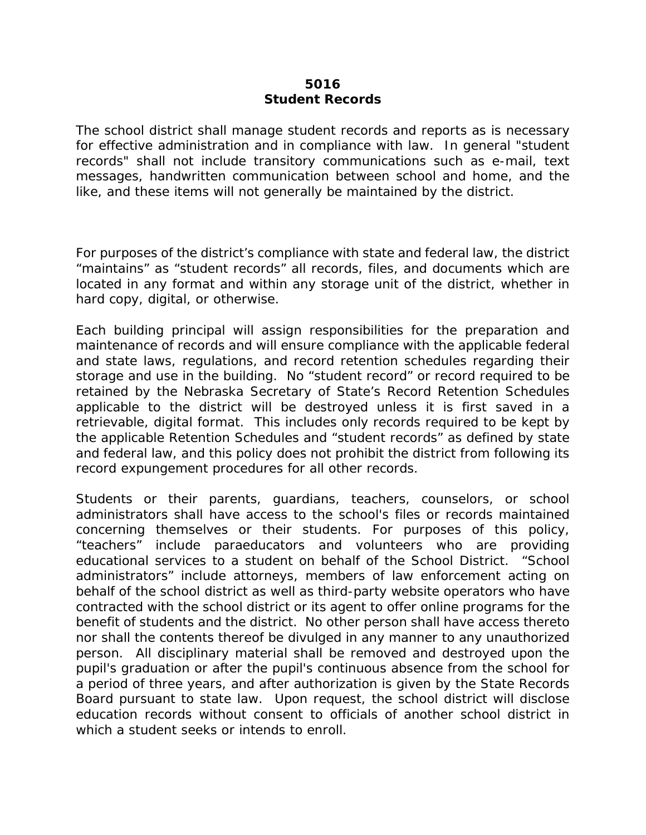## **5016 Student Records**

The school district shall manage student records and reports as is necessary for effective administration and in compliance with law. In general "student records" shall not include transitory communications such as e-mail, text messages, handwritten communication between school and home, and the like, and these items will not generally be maintained by the district.

For purposes of the district's compliance with state and federal law, the district "maintains" as "student records" all records, files, and documents which are located in any format and within any storage unit of the district, whether in hard copy, digital, or otherwise.

Each building principal will assign responsibilities for the preparation and maintenance of records and will ensure compliance with the applicable federal and state laws, regulations, and record retention schedules regarding their storage and use in the building. No "student record" or record required to be retained by the Nebraska Secretary of State's Record Retention Schedules applicable to the district will be destroyed unless it is first saved in a retrievable, digital format. This includes only records required to be kept by the applicable Retention Schedules and "student records" as defined by state and federal law, and this policy does not prohibit the district from following its record expungement procedures for all other records.

Students or their parents, guardians, teachers, counselors, or school administrators shall have access to the school's files or records maintained concerning themselves or their students. For purposes of this policy, "teachers" include paraeducators and volunteers who are providing educational services to a student on behalf of the School District. "School administrators" include attorneys, members of law enforcement acting on behalf of the school district as well as third-party website operators who have contracted with the school district or its agent to offer online programs for the benefit of students and the district. No other person shall have access thereto nor shall the contents thereof be divulged in any manner to any unauthorized person. All disciplinary material shall be removed and destroyed upon the pupil's graduation or after the pupil's continuous absence from the school for a period of three years, and after authorization is given by the State Records Board pursuant to state law. Upon request, the school district will disclose education records without consent to officials of another school district in which a student seeks or intends to enroll.